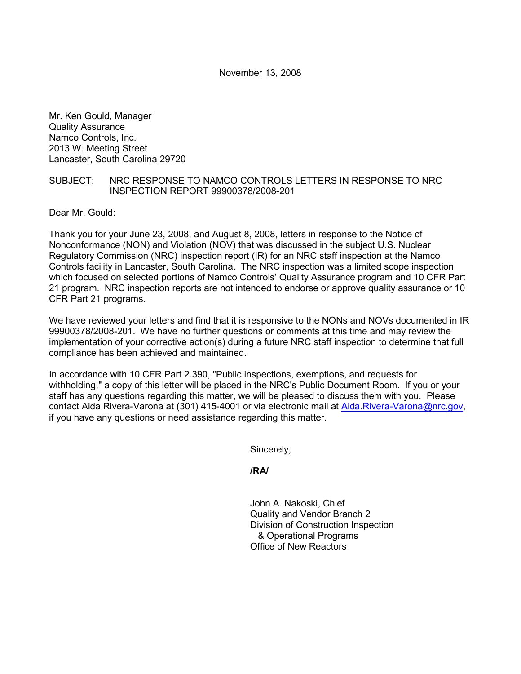November 13, 2008

Mr. Ken Gould, Manager Quality Assurance Namco Controls, Inc. 2013 W. Meeting Street Lancaster, South Carolina 29720

## SUBJECT: NRC RESPONSE TO NAMCO CONTROLS LETTERS IN RESPONSE TO NRC INSPECTION REPORT 99900378/2008-201

Dear Mr. Gould:

Thank you for your June 23, 2008, and August 8, 2008, letters in response to the Notice of Nonconformance (NON) and Violation (NOV) that was discussed in the subject U.S. Nuclear Regulatory Commission (NRC) inspection report (IR) for an NRC staff inspection at the Namco Controls facility in Lancaster, South Carolina. The NRC inspection was a limited scope inspection which focused on selected portions of Namco Controls' Quality Assurance program and 10 CFR Part 21 program. NRC inspection reports are not intended to endorse or approve quality assurance or 10 CFR Part 21 programs.

We have reviewed your letters and find that it is responsive to the NONs and NOVs documented in IR 99900378/2008-201. We have no further questions or comments at this time and may review the implementation of your corrective action(s) during a future NRC staff inspection to determine that full compliance has been achieved and maintained.

In accordance with 10 CFR Part 2.390, "Public inspections, exemptions, and requests for withholding," a copy of this letter will be placed in the NRC's Public Document Room. If you or your staff has any questions regarding this matter, we will be pleased to discuss them with you. Please contact Aida Rivera-Varona at (301) 415-4001 or via electronic mail at Aida.Rivera-Varona@nrc.gov, if you have any questions or need assistance regarding this matter.

Sincerely,

**/RA/** 

John A. Nakoski, Chief Quality and Vendor Branch 2 Division of Construction Inspection & Operational Programs Office of New Reactors